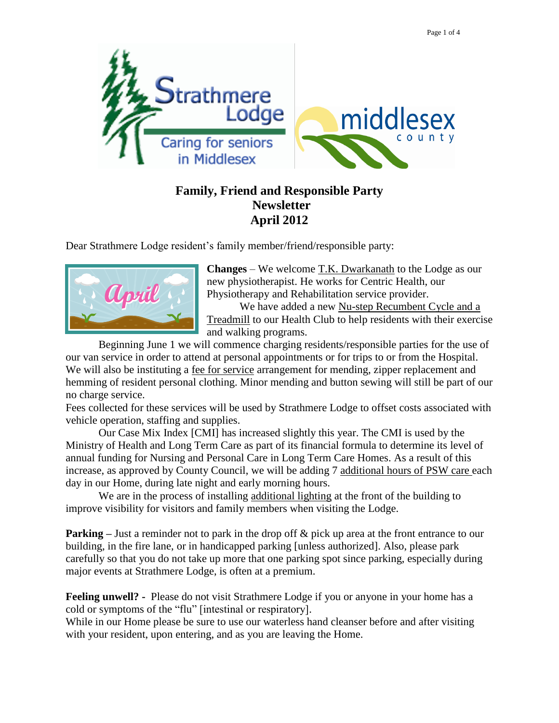

## **Family, Friend and Responsible Party Newsletter April 2012**

Dear Strathmere Lodge resident"s family member/friend/responsible party:



**Changes** – We welcome T.K. Dwarkanath to the Lodge as our new physiotherapist. He works for Centric Health, our Physiotherapy and Rehabilitation service provider. We have added a new Nu-step Recumbent Cycle and a

Treadmill to our Health Club to help residents with their exercise and walking programs.

Beginning June 1 we will commence charging residents/responsible parties for the use of our van service in order to attend at personal appointments or for trips to or from the Hospital. We will also be instituting a fee for service arrangement for mending, zipper replacement and hemming of resident personal clothing. Minor mending and button sewing will still be part of our no charge service.

Fees collected for these services will be used by Strathmere Lodge to offset costs associated with vehicle operation, staffing and supplies.

Our Case Mix Index [CMI] has increased slightly this year. The CMI is used by the Ministry of Health and Long Term Care as part of its financial formula to determine its level of annual funding for Nursing and Personal Care in Long Term Care Homes. As a result of this increase, as approved by County Council, we will be adding 7 additional hours of PSW care each day in our Home, during late night and early morning hours.

We are in the process of installing additional lighting at the front of the building to improve visibility for visitors and family members when visiting the Lodge.

**Parking** – Just a reminder not to park in the drop off & pick up area at the front entrance to our building, in the fire lane, or in handicapped parking [unless authorized]. Also, please park carefully so that you do not take up more that one parking spot since parking, especially during major events at Strathmere Lodge, is often at a premium.

**Feeling unwell? -** Please do not visit Strathmere Lodge if you or anyone in your home has a cold or symptoms of the "flu" [intestinal or respiratory].

While in our Home please be sure to use our waterless hand cleanser before and after visiting with your resident, upon entering, and as you are leaving the Home.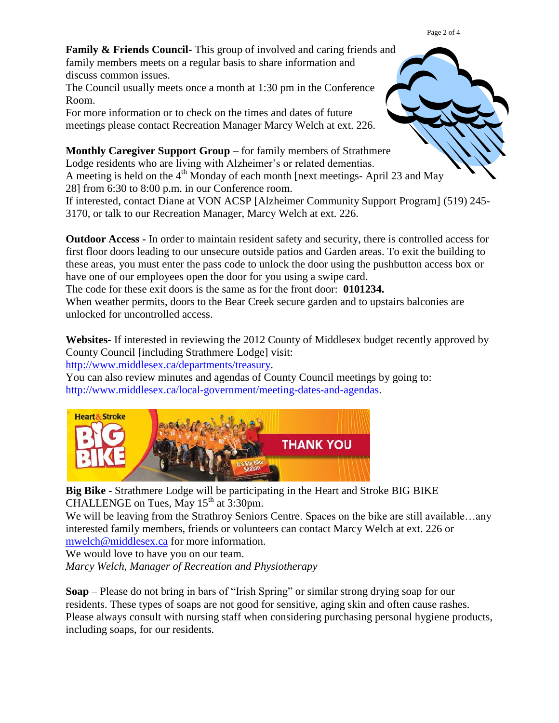Page 2 of 4

**Family & Friends Council-** This group of involved and caring friends and family members meets on a regular basis to share information and discuss common issues.

The Council usually meets once a month at 1:30 pm in the Conference Room.

For more information or to check on the times and dates of future meetings please contact Recreation Manager Marcy Welch at ext. 226.

**Monthly Caregiver Support Group** – for family members of Strathmere Lodge residents who are living with Alzheimer's or related dementias. A meeting is held on the  $4<sup>th</sup>$  Monday of each month [next meetings- April 23 and May 28] from 6:30 to 8:00 p.m. in our Conference room. If interested, contact Diane at VON ACSP [Alzheimer Community Support Program] (519) 245- 3170, or talk to our Recreation Manager, Marcy Welch at ext. 226.

**Outdoor Access -** In order to maintain resident safety and security, there is controlled access for first floor doors leading to our unsecure outside patios and Garden areas. To exit the building to these areas, you must enter the pass code to unlock the door using the pushbutton access box or have one of our employees open the door for you using a swipe card.

The code for these exit doors is the same as for the front door: **0101234.**

When weather permits, doors to the Bear Creek secure garden and to upstairs balconies are unlocked for uncontrolled access.

**Websites**- If interested in reviewing the 2012 County of Middlesex budget recently approved by County Council [including Strathmere Lodge] visit:

[http://www.middlesex.ca/departments/treasury.](http://www.middlesex.ca/departments/treasury)

You can also review minutes and agendas of County Council meetings by going to: [http://www.middlesex.ca/local-government/meeting-dates-and-agendas.](http://www.middlesex.ca/local-government/meeting-dates-and-agendas)



**Big Bike** - Strathmere Lodge will be participating in the Heart and Stroke BIG BIKE CHALLENGE on Tues, May  $15<sup>th</sup>$  at  $3:30$ pm.

We will be leaving from the Strathroy Seniors Centre. Spaces on the bike are still available...any interested family members, friends or volunteers can contact Marcy Welch at ext. 226 or [mwelch@middlesex.ca](mailto:mwelch@middlesex.ca) for more information.

We would love to have you on our team.

*Marcy Welch, Manager of Recreation and Physiotherapy*

**Soap** – Please do not bring in bars of "Irish Spring" or similar strong drying soap for our residents. These types of soaps are not good for sensitive, aging skin and often cause rashes. Please always consult with nursing staff when considering purchasing personal hygiene products, including soaps, for our residents.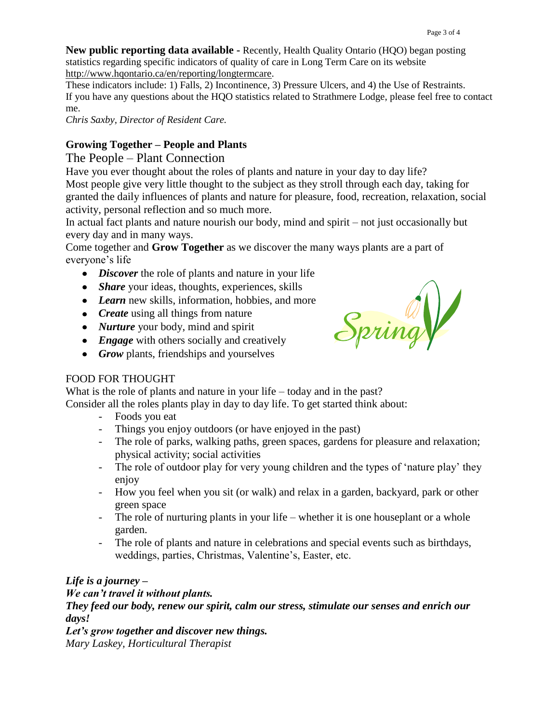**New public reporting data available -** Recently, Health Quality Ontario (HQO) began posting statistics regarding specific indicators of quality of care in Long Term Care on its website [http://www.hqontario.ca/en/reporting/longtermcare.](http://www.hqontario.ca/en/reporting/longtermcare)

These indicators include: 1) Falls, 2) Incontinence, 3) Pressure Ulcers, and 4) the Use of Restraints. If you have any questions about the HQO statistics related to Strathmere Lodge, please feel free to contact me.

*Chris Saxby, Director of Resident Care.*

## **Growing Together – People and Plants**

The People – Plant Connection

Have you ever thought about the roles of plants and nature in your day to day life? Most people give very little thought to the subject as they stroll through each day, taking for granted the daily influences of plants and nature for pleasure, food, recreation, relaxation, social activity, personal reflection and so much more.

In actual fact plants and nature nourish our body, mind and spirit – not just occasionally but every day and in many ways.

Come together and **Grow Together** as we discover the many ways plants are a part of everyone's life

- *Discover* the role of plants and nature in your life
- *Share* your ideas, thoughts, experiences, skills
- Learn new skills, information, hobbies, and more
- *Create* using all things from nature
- *Nurture* your body, mind and spirit
- **•** *Engage* with others socially and creatively
- *Grow* plants, friendships and yourselves



## FOOD FOR THOUGHT

What is the role of plants and nature in your life – today and in the past? Consider all the roles plants play in day to day life. To get started think about:

- Foods you eat
- Things you enjoy outdoors (or have enjoyed in the past)
- The role of parks, walking paths, green spaces, gardens for pleasure and relaxation; physical activity; social activities
- The role of outdoor play for very young children and the types of 'nature play' they enjoy
- How you feel when you sit (or walk) and relax in a garden, backyard, park or other green space
- The role of nurturing plants in your life whether it is one houseplant or a whole garden.
- The role of plants and nature in celebrations and special events such as birthdays, weddings, parties, Christmas, Valentine's, Easter, etc.

## *Life is a journey –*

*We can't travel it without plants.* 

*They feed our body, renew our spirit, calm our stress, stimulate our senses and enrich our days!* 

*Let's grow together and discover new things. Mary Laskey, Horticultural Therapist*